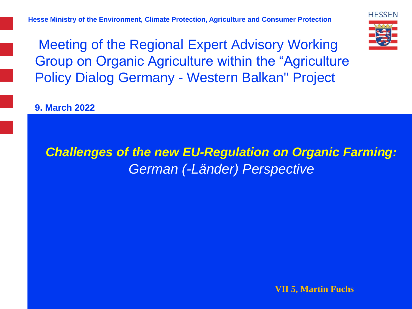**Hesse Ministry of the Environment, Climate Protection, Agriculture and Consumer Protection**

**HESSEN** 

Meeting of the Regional Expert Advisory Working Group on Organic Agriculture within the "Agriculture Policy Dialog Germany - Western Balkan" Project

**9. March 2022**

# *Challenges of the new EU-Regulation on Organic Farming: German (-Länder) Perspective*

**VII 5, Martin Fuchs**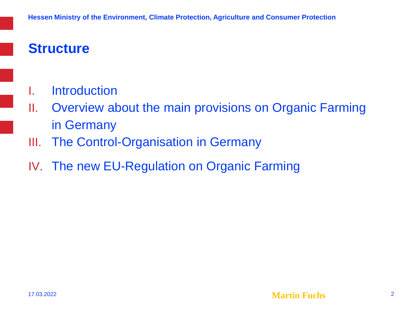# **Structure**

- I. Introduction
- II. Overview about the main provisions on Organic Farming in Germany
- III. The Control-Organisation in Germany
- IV. The new EU-Regulation on Organic Farming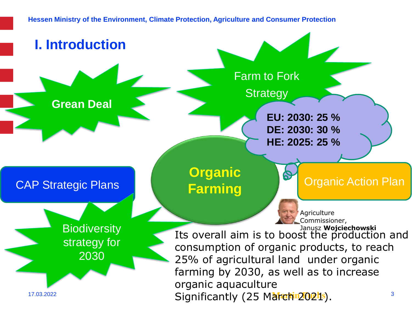**Hessen Ministry of the Environment, Climate Protection, Agriculture and Consumer Protection**

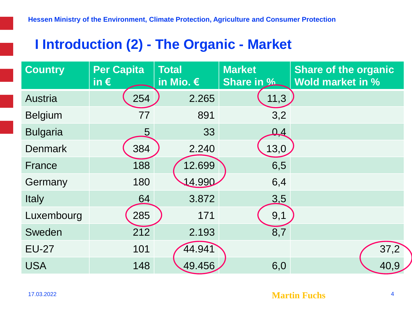## **I Introduction (2) - The Organic - Market**

| <b>Country</b>  | <b>Per Capita</b><br>in $\epsilon$ | <b>Total</b><br>in Mio. $\epsilon$ | <b>Market</b><br><b>Share in %</b> | <b>Share of the organic</b><br><b>Wold market in %</b> |
|-----------------|------------------------------------|------------------------------------|------------------------------------|--------------------------------------------------------|
| <b>Austria</b>  | 254                                | 2.265                              | 11,3                               |                                                        |
| <b>Belgium</b>  | 77                                 | 891                                | 3,2                                |                                                        |
| <b>Bulgaria</b> | 5                                  | 33                                 | $\Omega$                           |                                                        |
| <b>Denmark</b>  | 384                                | 2.240                              | 13,0                               |                                                        |
| France          | 188                                | 12.699                             | 6,5                                |                                                        |
| Germany         | 180                                | 14.990                             | 6,4                                |                                                        |
| <b>Italy</b>    | 64                                 | 3.872                              | <u>3.5</u>                         |                                                        |
| Luxembourg      | 285                                | 171                                | 9,1                                |                                                        |
| Sweden          | 212                                | 2.193                              | 8,7                                |                                                        |
| <b>EU-27</b>    | 101                                | 44.941                             |                                    | 37,2                                                   |
| <b>USA</b>      | 148                                | 49.456                             | 6,0                                | 40,9                                                   |

**Martin Fuchs** <sup>4</sup>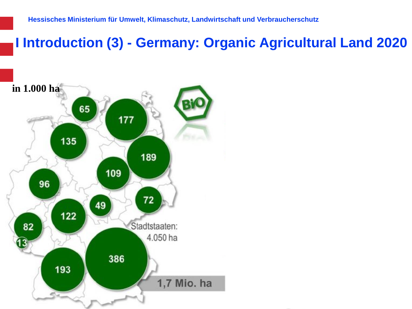**I Introduction (3) - Germany: Organic Agricultural Land 2020**

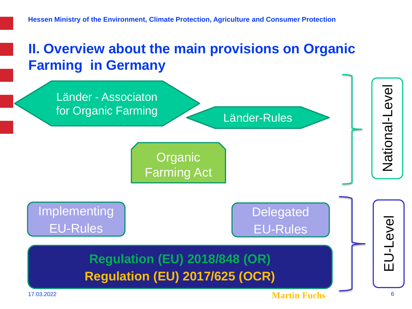# **II. Overview about the main provisions on Organic Farming in Germany**

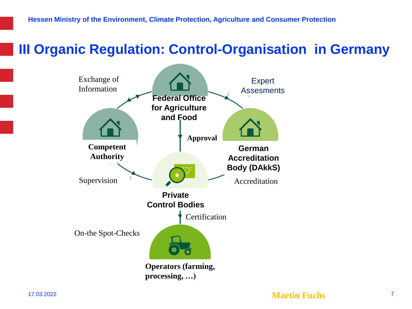## **III Organic Regulation: Control-Organisation in Germany**

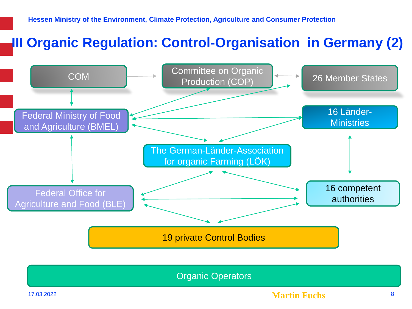# **III Organic Regulation: Control-Organisation in Germany (2)**



Organic Operators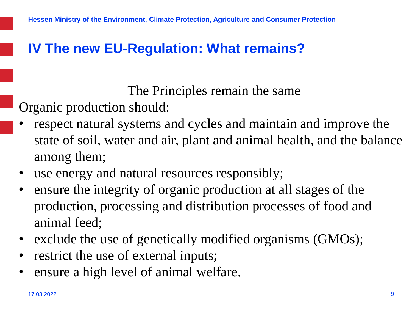#### **IV The new EU-Regulation: What remains?**

The Principles remain the same

Organic production should:

- respect natural systems and cycles and maintain and improve the state of soil, water and air, plant and animal health, and the balance among them;
- use energy and natural resources responsibly;
- ensure the integrity of organic production at all stages of the production, processing and distribution processes of food and animal feed;
- exclude the use of genetically modified organisms (GMOs);
- restrict the use of external inputs;
- ensure a high level of animal welfare.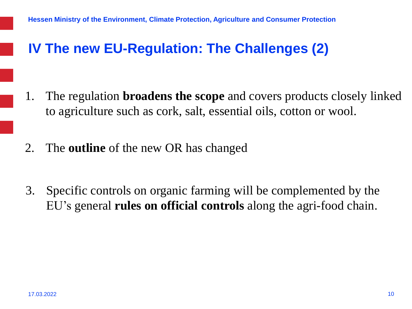#### **IV The new EU-Regulation: The Challenges (2)**

- 1. The regulation **broadens the scope** and covers products closely linked to agriculture such as cork, salt, essential oils, cotton or wool.
- 2. The **outline** of the new OR has changed
- 3. Specific controls on organic farming will be complemented by the EU's general **rules on official controls** along the agri-food chain.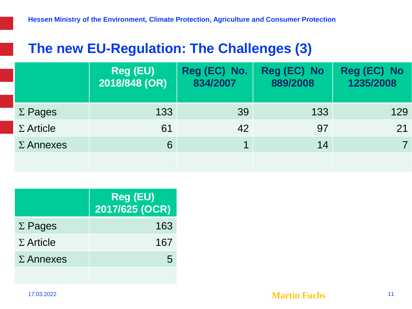## **The new EU-Regulation: The Challenges (3)**

|                  | <b>Reg (EU)</b><br>2018/848 (OR) | Reg (EC) No.<br>834/2007 | Reg (EC) No<br>889/2008 | Reg (EC) No<br>1235/2008 |
|------------------|----------------------------------|--------------------------|-------------------------|--------------------------|
| $\Sigma$ Pages   | 133                              | 39                       | 133                     | 129                      |
| $\Sigma$ Article | 61                               | 42                       | 97                      | 21                       |
| $\Sigma$ Annexes | 6                                | 1                        | 14                      |                          |
|                  |                                  |                          |                         |                          |

|                  | <b>Reg (EU)</b><br>2017/625 (OCR) |
|------------------|-----------------------------------|
| $\Sigma$ Pages   | 163                               |
| $\Sigma$ Article | 167                               |
| $\Sigma$ Annexes | $\mathbf{b}$                      |
|                  |                                   |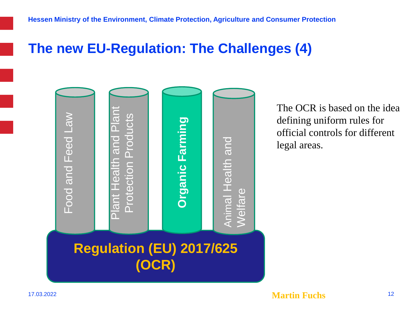#### **The new EU-Regulation: The Challenges (4)**



The OCR is based on the idea defining uniform rules for official controls for different legal areas.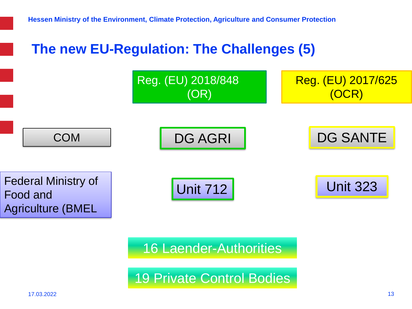

16 Laender-Authorities

19 Private Control Bodies